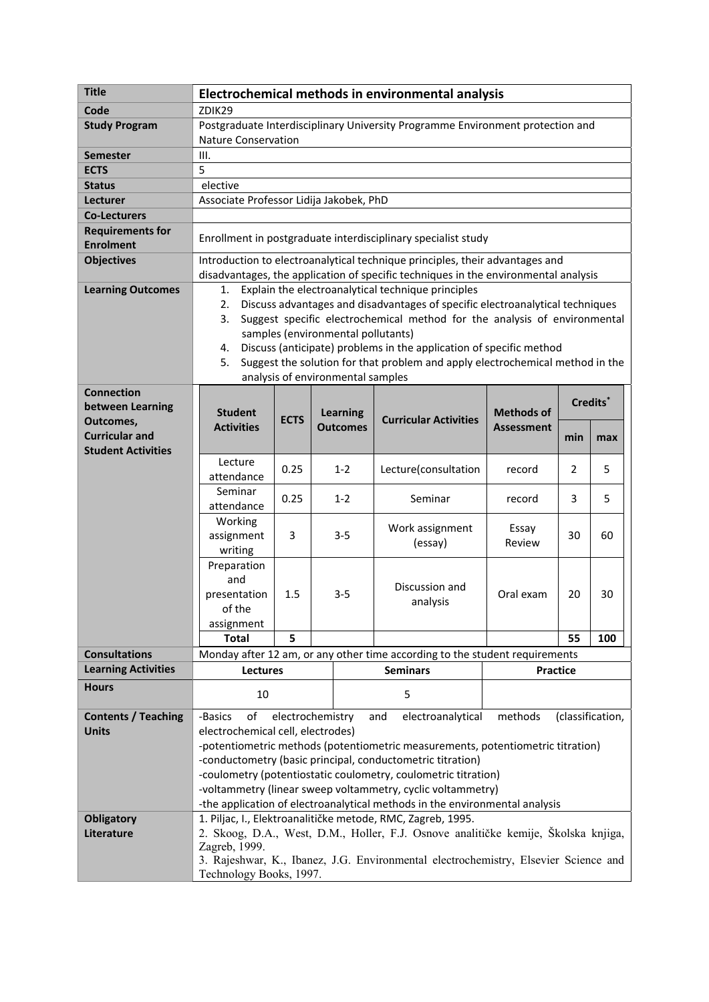| <b>Title</b>                                | Electrochemical methods in environmental analysis                                                                        |                                                                                     |                  |                                                                                 |                   |     |                  |
|---------------------------------------------|--------------------------------------------------------------------------------------------------------------------------|-------------------------------------------------------------------------------------|------------------|---------------------------------------------------------------------------------|-------------------|-----|------------------|
| Code                                        | ZDIK29                                                                                                                   |                                                                                     |                  |                                                                                 |                   |     |                  |
| <b>Study Program</b>                        | Postgraduate Interdisciplinary University Programme Environment protection and                                           |                                                                                     |                  |                                                                                 |                   |     |                  |
|                                             | <b>Nature Conservation</b>                                                                                               |                                                                                     |                  |                                                                                 |                   |     |                  |
| <b>Semester</b>                             | III.                                                                                                                     |                                                                                     |                  |                                                                                 |                   |     |                  |
| <b>ECTS</b>                                 | 5                                                                                                                        |                                                                                     |                  |                                                                                 |                   |     |                  |
| <b>Status</b>                               | elective                                                                                                                 |                                                                                     |                  |                                                                                 |                   |     |                  |
| Lecturer                                    | Associate Professor Lidija Jakobek, PhD                                                                                  |                                                                                     |                  |                                                                                 |                   |     |                  |
| <b>Co-Lecturers</b>                         |                                                                                                                          |                                                                                     |                  |                                                                                 |                   |     |                  |
| <b>Requirements for</b><br><b>Enrolment</b> | Enrollment in postgraduate interdisciplinary specialist study                                                            |                                                                                     |                  |                                                                                 |                   |     |                  |
| <b>Objectives</b>                           | Introduction to electroanalytical technique principles, their advantages and                                             |                                                                                     |                  |                                                                                 |                   |     |                  |
|                                             | disadvantages, the application of specific techniques in the environmental analysis                                      |                                                                                     |                  |                                                                                 |                   |     |                  |
| <b>Learning Outcomes</b>                    | Explain the electroanalytical technique principles<br>1.                                                                 |                                                                                     |                  |                                                                                 |                   |     |                  |
|                                             | Discuss advantages and disadvantages of specific electroanalytical techniques<br>2.                                      |                                                                                     |                  |                                                                                 |                   |     |                  |
|                                             | Suggest specific electrochemical method for the analysis of environmental<br>3.                                          |                                                                                     |                  |                                                                                 |                   |     |                  |
|                                             | samples (environmental pollutants)                                                                                       |                                                                                     |                  |                                                                                 |                   |     |                  |
|                                             | Discuss (anticipate) problems in the application of specific method<br>4.                                                |                                                                                     |                  |                                                                                 |                   |     |                  |
|                                             | Suggest the solution for that problem and apply electrochemical method in the<br>5.<br>analysis of environmental samples |                                                                                     |                  |                                                                                 |                   |     |                  |
| <b>Connection</b>                           |                                                                                                                          |                                                                                     |                  |                                                                                 |                   |     |                  |
| between Learning                            | Credits*                                                                                                                 |                                                                                     |                  |                                                                                 |                   |     |                  |
| Outcomes,                                   | <b>Student</b>                                                                                                           | <b>Methods of</b><br><b>Learning</b><br><b>ECTS</b><br><b>Curricular Activities</b> |                  |                                                                                 |                   |     |                  |
| <b>Curricular and</b>                       | <b>Activities</b>                                                                                                        |                                                                                     | <b>Outcomes</b>  |                                                                                 | <b>Assessment</b> | min | max              |
| <b>Student Activities</b>                   |                                                                                                                          |                                                                                     |                  |                                                                                 |                   |     |                  |
|                                             | Lecture                                                                                                                  | 0.25                                                                                | $1 - 2$          | Lecture(consultation                                                            | record            | 2   | 5                |
|                                             | attendance                                                                                                               |                                                                                     |                  |                                                                                 |                   |     |                  |
|                                             | Seminar                                                                                                                  | 0.25                                                                                | $1 - 2$          | Seminar                                                                         | record            | 3   | 5                |
|                                             | attendance                                                                                                               |                                                                                     |                  |                                                                                 |                   |     |                  |
|                                             | Working                                                                                                                  |                                                                                     |                  | Work assignment                                                                 | Essay             |     |                  |
|                                             | assignment                                                                                                               | 3                                                                                   | 3-5              | (essay)                                                                         | Review            | 30  | 60               |
|                                             | writing                                                                                                                  |                                                                                     |                  |                                                                                 |                   |     |                  |
|                                             | Preparation                                                                                                              |                                                                                     |                  |                                                                                 |                   |     |                  |
|                                             | and<br>presentation                                                                                                      | 1.5                                                                                 | $3 - 5$          | Discussion and                                                                  | Oral exam         | 20  | 30               |
|                                             | of the                                                                                                                   |                                                                                     |                  | analysis                                                                        |                   |     |                  |
|                                             | assignment                                                                                                               |                                                                                     |                  |                                                                                 |                   |     |                  |
|                                             | <b>Total</b>                                                                                                             | 5                                                                                   |                  |                                                                                 |                   | 55  | 100              |
| <b>Consultations</b>                        |                                                                                                                          |                                                                                     |                  | Monday after 12 am, or any other time according to the student requirements     |                   |     |                  |
| <b>Learning Activities</b>                  | <b>Lectures</b>                                                                                                          |                                                                                     |                  | <b>Seminars</b>                                                                 | <b>Practice</b>   |     |                  |
| <b>Hours</b>                                |                                                                                                                          |                                                                                     |                  |                                                                                 |                   |     |                  |
|                                             | 10                                                                                                                       |                                                                                     |                  | 5                                                                               |                   |     |                  |
| <b>Contents / Teaching</b>                  | -Basics<br>of                                                                                                            |                                                                                     | electrochemistry | and<br>electroanalytical                                                        | methods           |     | (classification, |
| Units                                       | electrochemical cell, electrodes)                                                                                        |                                                                                     |                  |                                                                                 |                   |     |                  |
|                                             |                                                                                                                          |                                                                                     |                  | -potentiometric methods (potentiometric measurements, potentiometric titration) |                   |     |                  |
|                                             |                                                                                                                          |                                                                                     |                  | -conductometry (basic principal, conductometric titration)                      |                   |     |                  |
|                                             | -coulometry (potentiostatic coulometry, coulometric titration)                                                           |                                                                                     |                  |                                                                                 |                   |     |                  |
|                                             | -voltammetry (linear sweep voltammetry, cyclic voltammetry)                                                              |                                                                                     |                  |                                                                                 |                   |     |                  |
|                                             | -the application of electroanalytical methods in the environmental analysis                                              |                                                                                     |                  |                                                                                 |                   |     |                  |
| <b>Obligatory</b>                           | 1. Piljac, I., Elektroanalitičke metode, RMC, Zagreb, 1995.                                                              |                                                                                     |                  |                                                                                 |                   |     |                  |
| Literature                                  | 2. Skoog, D.A., West, D.M., Holler, F.J. Osnove analitičke kemije, Školska knjiga,                                       |                                                                                     |                  |                                                                                 |                   |     |                  |
|                                             | Zagreb, 1999.                                                                                                            |                                                                                     |                  |                                                                                 |                   |     |                  |
|                                             | 3. Rajeshwar, K., Ibanez, J.G. Environmental electrochemistry, Elsevier Science and                                      |                                                                                     |                  |                                                                                 |                   |     |                  |
|                                             | Technology Books, 1997.                                                                                                  |                                                                                     |                  |                                                                                 |                   |     |                  |